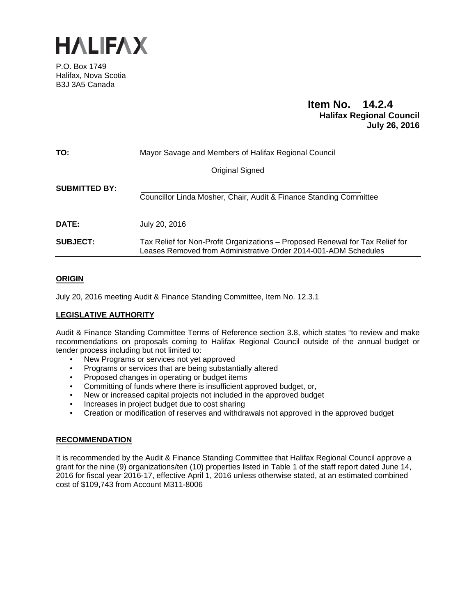

P.O. Box 1749 Halifax, Nova Scotia B3J 3A5 Canada

# **Item No. 14.2.4 Halifax Regional Council July 26, 2016**

| TO:                  | Mayor Savage and Members of Halifax Regional Council                                                                                             |  |  |
|----------------------|--------------------------------------------------------------------------------------------------------------------------------------------------|--|--|
|                      | Original Signed                                                                                                                                  |  |  |
| <b>SUBMITTED BY:</b> | Councillor Linda Mosher, Chair, Audit & Finance Standing Committee                                                                               |  |  |
| DATE:                | July 20, 2016                                                                                                                                    |  |  |
| <b>SUBJECT:</b>      | Tax Relief for Non-Profit Organizations – Proposed Renewal for Tax Relief for<br>Leases Removed from Administrative Order 2014-001-ADM Schedules |  |  |

# **ORIGIN**

July 20, 2016 meeting Audit & Finance Standing Committee, Item No. 12.3.1

# **LEGISLATIVE AUTHORITY**

Audit & Finance Standing Committee Terms of Reference section 3.8, which states "to review and make recommendations on proposals coming to Halifax Regional Council outside of the annual budget or tender process including but not limited to:

- New Programs or services not yet approved
- Programs or services that are being substantially altered
- Proposed changes in operating or budget items
- Committing of funds where there is insufficient approved budget, or,
- New or increased capital projects not included in the approved budget
- Increases in project budget due to cost sharing
- Creation or modification of reserves and withdrawals not approved in the approved budget

# **RECOMMENDATION**

It is recommended by the Audit & Finance Standing Committee that Halifax Regional Council approve a grant for the nine (9) organizations/ten (10) properties listed in Table 1 of the staff report dated June 14, 2016 for fiscal year 2016-17, effective April 1, 2016 unless otherwise stated, at an estimated combined cost of \$109,743 from Account M311-8006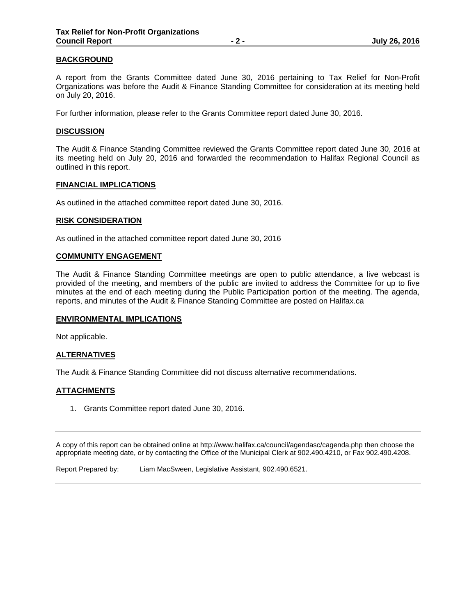# **BACKGROUND**

A report from the Grants Committee dated June 30, 2016 pertaining to Tax Relief for Non-Profit Organizations was before the Audit & Finance Standing Committee for consideration at its meeting held on July 20, 2016.

For further information, please refer to the Grants Committee report dated June 30, 2016.

#### **DISCUSSION**

The Audit & Finance Standing Committee reviewed the Grants Committee report dated June 30, 2016 at its meeting held on July 20, 2016 and forwarded the recommendation to Halifax Regional Council as outlined in this report.

#### **FINANCIAL IMPLICATIONS**

As outlined in the attached committee report dated June 30, 2016.

#### **RISK CONSIDERATION**

As outlined in the attached committee report dated June 30, 2016

#### **COMMUNITY ENGAGEMENT**

The Audit & Finance Standing Committee meetings are open to public attendance, a live webcast is provided of the meeting, and members of the public are invited to address the Committee for up to five minutes at the end of each meeting during the Public Participation portion of the meeting. The agenda, reports, and minutes of the Audit & Finance Standing Committee are posted on Halifax.ca

#### **ENVIRONMENTAL IMPLICATIONS**

Not applicable.

# **ALTERNATIVES**

The Audit & Finance Standing Committee did not discuss alternative recommendations.

# **ATTACHMENTS**

1. Grants Committee report dated June 30, 2016.

A copy of this report can be obtained online at http://www.halifax.ca/council/agendasc/cagenda.php then choose the appropriate meeting date, or by contacting the Office of the Municipal Clerk at 902.490.4210, or Fax 902.490.4208.

Report Prepared by: Liam MacSween, Legislative Assistant, 902.490.6521.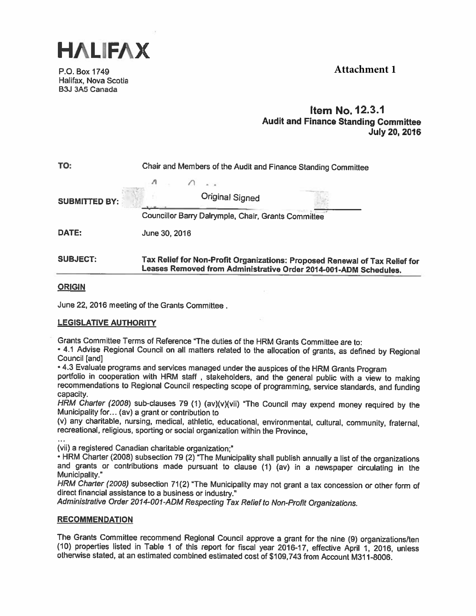



P.O. Box 1749 Halifax, Nova Scotia B3J 3A5 Canada

# Item No. 12.3.1 Audit and Finance Standing Committee July 20, 2016

| TO:<br>Chair and Members of the Audit and Finance Standing Committee |                                                                             |  |
|----------------------------------------------------------------------|-----------------------------------------------------------------------------|--|
|                                                                      |                                                                             |  |
| <b>SUBMITTED BY:</b>                                                 | <b>Original Signed</b>                                                      |  |
|                                                                      | Councillor Barry Dalrymple, Chair, Grants Committee                         |  |
| DATE:                                                                | June 30, 2016                                                               |  |
| <b>SUBJECT:</b>                                                      | Tax Relief for Non-Profit Organizations: Proposed Renewal of Tax Relief for |  |

# **ORIGIN**

June 22, 2016 meeting of the Grants Committee

# LEGISLATIVE AUTHORITY

Grants Committee Terms of Reference "The duties of the HRM Grants Committee are to:

- 4.1 Advise Regional Council on all matters related to the allocation of grants, as defined by Regional Council [and]

Leases Removed from Administrative Order 2014-001-ADM Schedules.

• 4.3 Evaluate programs and services managed under the auspices of the HRM Grants Program<br>portfolio in cooperation with HRM staff, stakeholders, and the general public with a view to making<br>recommendations to Regional Coun

HRM Charter (2008) sub-clauses 79 (1) (av)(v)(vii) "The Council may expend money required by the Municipality for... (av) a grant or contribution to

(v) any charitable, nursing, medical, athletic, educational, environmental, cultural, community, fraternal, recreational, religious, sporting or social organization within the Province,

(vii) <sup>a</sup> registered Canadian charitable organization;"

• HRM Charter (2008) subsection 79 (2) "The Municipality shall publish annually a list of the organizations and grants or contributions made pursuant to clause (1) (av) in a newspaper circulating in the Municipality."

HRM Charter (2008) subsection 71(2) "The Municipality may not grant a tax concession or other form of direct financial assistance to a business or industry."

Administrative Order 2014-001-ADM Respecting Tax Relief to Non-Profit Organizations.

# RECOMMENDATION

The Grants Committee recommend Regional Council approve a grant for the nine (9) organizations/ten (10) properties listed in Table 1 of this report for fiscal year 2016-17, effective April 1, 2016, unless otherwise stated,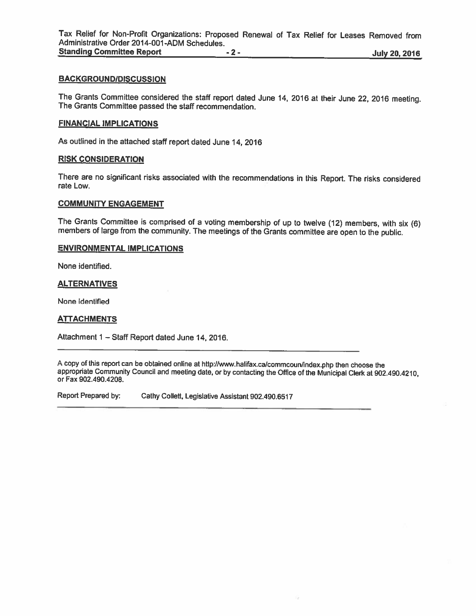Tax Relief for Non-Profit Organizations: Proposed Renewal of Tax Relief for Leases Removed from Administrative Order 2014-OO1-ADM Schedules. Standing Committee Report **1996** - 2 - 1997 - 2 - 1997 - 1998 - 1999 - 1999 - 1999 - 1999 - 1999 - 1999 - 1999 - 1999 - 1999 - 1999 - 1999 - 1999 - 1999 - 1999 - 1999 - 1999 - 1999 - 1999 - 1999 - 1999 - 1999 - 1999 - 1999

# BACKGROUND/DISCUSSION

The Grants Committee considered the staff report dated June 14, <sup>2016</sup> at their June 22, <sup>2016</sup> meeting. The Grants Committee passed the staff recommendation.

#### FINANCIAL IMPLICATIONS

As outlined in the attached staff report dated June 14, 2016

#### RISK CONSIDERATION

There are no significant risks associated with the recommendations in this Report. The risks considered rate Low.

#### COMMUNITY ENGAGEMENT

The Grants Committee is comprised of <sup>a</sup> voting membership of up to twelve (12) members, with six (6) members of large from the community. The meetings of the Grants committee are open to the public.

### ENVIRONMENTAL IMPLICATIONS

None identified.

#### ALTERNATIVES

None identified

#### **ATTACHMENTS**

Attachment <sup>1</sup> — Staff Report dated June 14, 2016.

<sup>A</sup> copy of this report can be obtained online at http://www.halifax.ca/commcoun/index.php then choose the appropriate Community Council and meeting date, or by contacting the Office of the Municipal Clerk at 902.490.4210, or Fax 902.490.4208.

Report Prepared by: Cathy Collett, Legislative Assistant 902.490.6517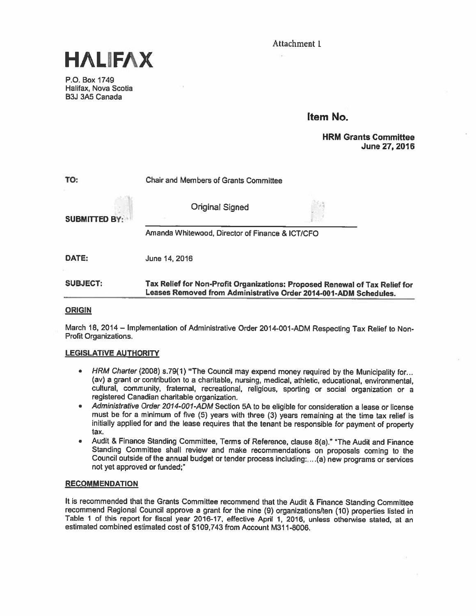Attachment 1



P.O. Box 1749 Halifax, Nova Scotia B3J 3A5 Canada

# Item No.

# HRM Grants Committee June 27, 2016

| TO:                  | <b>Chair and Members of Grants Committee</b>                                                                                                    |  |  |
|----------------------|-------------------------------------------------------------------------------------------------------------------------------------------------|--|--|
| <b>SUBMITTED BY:</b> | <b>Original Signed</b>                                                                                                                          |  |  |
|                      | Amanda Whitewood, Director of Finance & ICT/CFO                                                                                                 |  |  |
| DATE:                | June 14, 2016                                                                                                                                   |  |  |
| <b>SUBJECT:</b>      | Tax Relief for Non-Profit Organizations: Proposed Renewal of Tax Relief for<br>Leases Removed from Administrative Order 2014-001-ADM Schedules. |  |  |

# **ORIGIN**

March 18, 2014— Implementation of Administrative Order 2014-001-ADM Respecting Tax Relief to Non Profit Organizations.

# LEGISLATIVE AUTHORITY

- HRM Charter (2008) s.79(1) "The Council may expen<sup>d</sup> money required by the Municipality for... (av) <sup>a</sup> grant or contribution to <sup>a</sup> charitable, nursing, medical, athletic, educational, environmental, cultural, community, fraternal, recreational, religious, sporting or social organization or <sup>a</sup> registered Canadian charitable organization.
- • Administrative Order 2014-OO1-ADM Section 5A to be eligible for consideration <sup>a</sup> lease or license must be for <sup>a</sup> minimum of five (5) years with three (3) years remaining at the time tax relief is initially applied for and the lease requires that the tenant be responsible for payment of property tax.
- • Audit & Finance Standing Committee, Terms of Reference, clause 8(a)." "The Audit and Finance Standing Committee shall review and make recommendations on proposals coming to the Council outside of the annual budget or tender process including: ... (a) new programs or services not ye<sup>t</sup> approved or funded;"

# **RECOMMENDATION**

It is recommended that the Grants Committee recommend that the Audit & Finance Standing Committee recommend Regional Council approve <sup>a</sup> gran<sup>t</sup> for the nine (9) organizations/ten (10) properties listed in Table <sup>1</sup> of this repor<sup>t</sup> for fiscal year 2016-17, effective April 1, 2016, unless otherwise stated, at an estimated combined estimated cost of \$109,743 from Account M31 1-8006.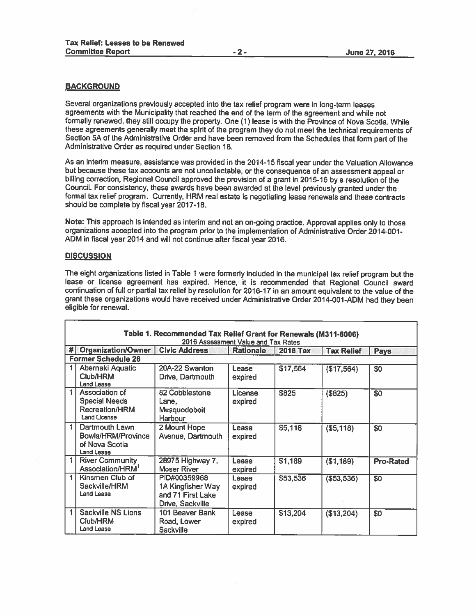# **BACKGROUND**

Several organizations previously accepted into the tax relief program were in long-term leases agreements with the Municipality that reached the end of the term of the agreemen<sup>t</sup> and while not formally renewed, they still occupy the property. One (1) lease is with the Province of Nova Scotia. While these agreements generally meet the spirit of the program they do not meet the technical requirements of Section 5A of the Administrative Order and have been removed from the Schedules that form par<sup>t</sup> of the Administrative Order as required under Section 18.

As an interim measure, assistance was provided in the 2014-15 fiscal year under the Valuation Allowance but because these tax accounts are not uncollectable, or the consequence of an assessment appea<sup>l</sup> or billing correction, Regional Council approve<sup>d</sup> the provision of <sup>a</sup> gran<sup>t</sup> in 2015-16 by <sup>a</sup> resolution of the Council. For consistency, these awards have been awarded at the level previously granted under the formal tax relief program. Currently, HRM real estate is negotiating lease renewals and these contracts should be complete by fiscal year 2017-18.

Note: This approac<sup>h</sup> is intended as interim and not an on-going practice. Approval applies only to those organizations accepted into the program prior to the implementation of Administrative Order 2014-001- ADM in fiscal year <sup>2014</sup> and will not continue after fiscal year 2016.

#### **DISCUSSION**

The eight organizations listed in Table <sup>1</sup> were formerly included in the municipal tax relief program but the lease or license agreemen<sup>t</sup> has expired. Hence, it is recommended that Regional Council award continuation of full or partial tax relief by resolution for 2016-17 in an amount equivalent to the value of the gran<sup>t</sup> these organizations would have received under Administrative Order 2014-001-ADM had they been eligible for renewal.

|   | Table 1. Recommended Tax Relief Grant for Renewals (M311-8006)<br>2016 Assessment Value and Tax Rates                        |                                                                            |                    |          |             |                  |
|---|------------------------------------------------------------------------------------------------------------------------------|----------------------------------------------------------------------------|--------------------|----------|-------------|------------------|
| # | <b>Organization/Owner</b><br><b>Civic Address</b><br><b>Tax Relief</b><br><b>Rationale</b><br><b>2016 Tax</b><br><b>Pays</b> |                                                                            |                    |          |             |                  |
|   | <b>Former Schedule 26</b>                                                                                                    |                                                                            |                    |          |             |                  |
|   | Abernaki Aquatic                                                                                                             | 20A-22 Swanton                                                             | Lease              | \$17,564 | (\$17,564)  | \$0              |
|   | Club/HRM<br>Land Lease                                                                                                       | Drive, Dartmouth                                                           | expired            |          |             |                  |
| 1 | Association of<br><b>Special Needs</b><br>Recreation/HRM<br><b>Land License</b>                                              | 82 Cobblestone<br>Lane,<br>Musquodoboit<br>Harbour                         | License<br>expired | \$825    | (\$825)     | \$0              |
| 1 | Dartmouth Lawn<br>Bowls/HRM/Province<br>of Nova Scotia<br><b>Land Lease</b>                                                  | 2 Mount Hope<br>Avenue, Dartmouth                                          | Lease<br>expired   | \$5,118  | ( \$5,118)  | \$0              |
| 1 | <b>River Community</b><br>Association/HRM <sup>1</sup>                                                                       | 28975 Highway 7,<br>Moser River                                            | Lease<br>expired   | \$1,189  | (\$1,189)   | <b>Pro-Rated</b> |
| 1 | Kinsmen Club of<br>Sackville/HRM<br><b>Land Lease</b>                                                                        | PID#00359968<br>1A Kingfisher Way<br>and 71 First Lake<br>Drive, Sackville | Lease<br>expired   | \$53,536 | ( \$53,536) | \$0              |
|   | <b>Sackville NS Lions</b><br>Club/HRM<br><b>Land Lease</b>                                                                   | 101 Beaver Bank<br>Road, Lower<br><b>Sackville</b>                         | Lease<br>expired   | \$13,204 | (\$13,204)  | \$0              |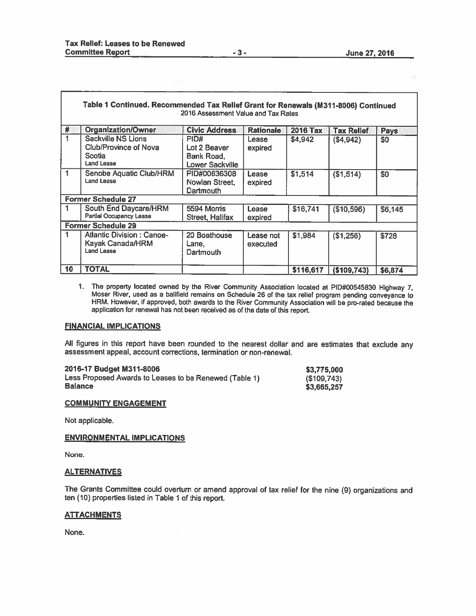|    | Table 1 Continued. Recommended Tax Relief Grant for Renewals (M311-8006) Continued | 2016 Assessment Value and Tax Rates                          |                       |                 |                   |         |
|----|------------------------------------------------------------------------------------|--------------------------------------------------------------|-----------------------|-----------------|-------------------|---------|
| #  | Organization/Owner                                                                 | <b>Civic Address</b>                                         | <b>Rationale</b>      | <b>2016 Tax</b> | <b>Tax Relief</b> | Pays    |
|    | Sackville NS Lions<br><b>Club/Province of Nova</b><br>Scotia<br><b>Land Lease</b>  | PID#<br>Lot 2 Beaver<br>Bank Road,<br><b>Lower Sackville</b> | Lease<br>expired      | \$4,942         | (\$4,942)         | \$0     |
|    | Senobe Aquatic Club/HRM<br><b>Land Lease</b>                                       | PID#00636308<br>Nowlan Street,<br><b>Dartmouth</b>           | Lease<br>expired      | \$1,514         | (\$1,514)         | \$0     |
|    | <b>Former Schedule 27</b>                                                          |                                                              |                       |                 |                   |         |
|    | South End Daycare/HRM<br><b>Partial Occupancy Lease</b>                            | 5594 Morris<br><b>Street, Halifax</b>                        | Lease<br>expired      | \$16,741        | (\$10,596)        | \$6,145 |
|    | <b>Former Schedule 29</b>                                                          |                                                              |                       |                 |                   |         |
|    | <b>Atlantic Division: Canoe-</b><br>Kayak Canada/HRM<br><b>Land Lease</b>          | 20 Boathouse<br>Lane,<br>Dartmouth                           | Lease not<br>executed | \$1,984         | (\$1,256)         | \$728   |
| 10 | <b>TOTAL</b>                                                                       |                                                              |                       | \$116,617       | (\$109,743)       | \$6,874 |

1, The property located owned by the River Community Association located at PID#00545830 Highway 7, Moser River. used as <sup>a</sup> balifleld remains on Schedule <sup>26</sup> of the tax relief program pending conveyance to HRM. However, if approved, both awards to the River Community Association will be pro-rated because the application for renewal has not been received as of the date of this report.

#### FINANCIAL IMPLICATIONS

All figures in this repor<sup>t</sup> have been rounded to the nearest dollar and are estimates that exclude any assessment appeal, account corrections, termination or non-renewal.

2016-17 Budget M311-8006 **\$3,775,000** Less Proposed Awards to Leases to be Renewed (Table 1) Balance  ${\tt \textcolor{red}{\textbf{l}}}$ ance  ${\tt \textcolor{red}{\textbf{S}3,665,257}}$ 

| \$3,775,000 |  |
|-------------|--|
| (\$109,743) |  |
| \$3,665,257 |  |

#### COMMUNITY ENGAGEMENT

Not applicable.

#### ENVIRONMENTAL IMPLICATIONS

None.

#### **ALTERNATIVES**

The Grants Committee could overturn or amend approva<sup>l</sup> of tax relief for the nine (9) organizations and ten (10) properties listed in Table <sup>1</sup> of this report.

#### ATTACHMENTS

None.